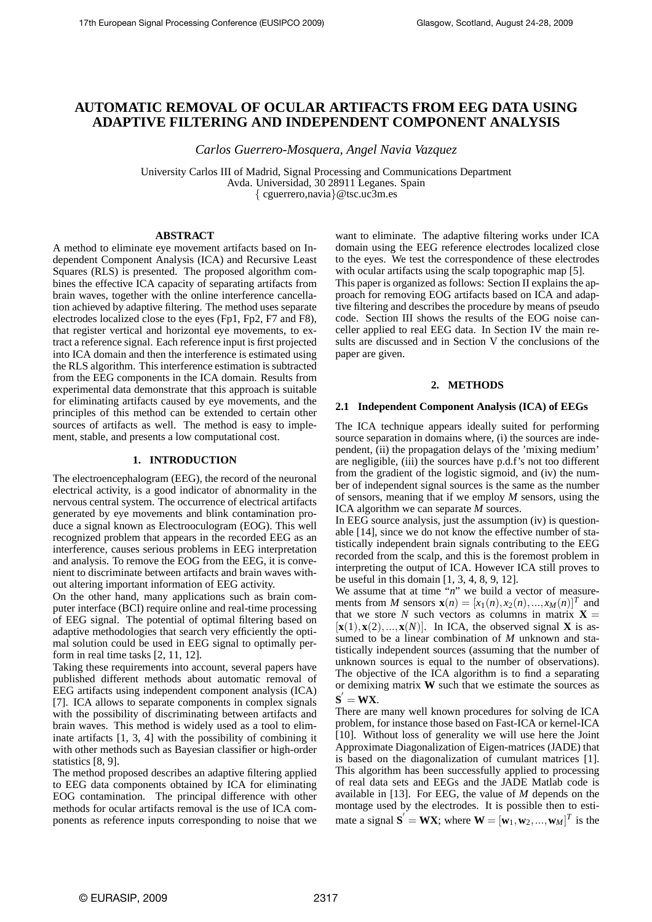# **AUTOMATIC REMOVAL OF OCULAR ARTIFACTS FROM EEG DATA USING ADAPTIVE FILTERING AND INDEPENDENT COMPONENT ANALYSIS**

*Carlos Guerrero-Mosquera, Angel Navia Vazquez*

University Carlos III of Madrid, Signal Processing and Communications Department Avda. Universidad, 30 28911 Leganes. Spain { cguerrero,navia}@tsc.uc3m.es

# **ABSTRACT**

A method to eliminate eye movement artifacts based on Independent Component Analysis (ICA) and Recursive Least Squares (RLS) is presented. The proposed algorithm combines the effective ICA capacity of separating artifacts from brain waves, together with the online interference cancellation achieved by adaptive filtering. The method uses separate electrodes localized close to the eyes (Fp1, Fp2, F7 and F8), that register vertical and horizontal eye movements, to extract a reference signal. Each reference input is first projected into ICA domain and then the interference is estimated using the RLS algorithm. This interference estimation is subtracted from the EEG components in the ICA domain. Results from experimental data demonstrate that this approach is suitable for eliminating artifacts caused by eye movements, and the principles of this method can be extended to certain other sources of artifacts as well. The method is easy to implement, stable, and presents a low computational cost.

# **1. INTRODUCTION**

The electroencephalogram (EEG), the record of the neuronal electrical activity, is a good indicator of abnormality in the nervous central system. The occurrence of electrical artifacts generated by eye movements and blink contamination produce a signal known as Electrooculogram (EOG). This well recognized problem that appears in the recorded EEG as an interference, causes serious problems in EEG interpretation and analysis. To remove the EOG from the EEG, it is convenient to discriminate between artifacts and brain waves without altering important information of EEG activity.

On the other hand, many applications such as brain computer interface (BCI) require online and real-time processing of EEG signal. The potential of optimal filtering based on adaptive methodologies that search very efficiently the optimal solution could be used in EEG signal to optimally perform in real time tasks [2, 11, 12].

Taking these requirements into account, several papers have published different methods about automatic removal of EEG artifacts using independent component analysis (ICA) [7]. ICA allows to separate components in complex signals with the possibility of discriminating between artifacts and brain waves. This method is widely used as a tool to eliminate artifacts [1, 3, 4] with the possibility of combining it with other methods such as Bayesian classifier or high-order statistics [8, 9].

The method proposed describes an adaptive filtering applied to EEG data components obtained by ICA for eliminating EOG contamination. The principal difference with other methods for ocular artifacts removal is the use of ICA components as reference inputs corresponding to noise that we want to eliminate. The adaptive filtering works under ICA domain using the EEG reference electrodes localized close to the eyes. We test the correspondence of these electrodes with ocular artifacts using the scalp topographic map [5]. This paper is organized as follows: Section II explains the approach for removing EOG artifacts based on ICA and adaptive filtering and describes the procedure by means of pseudo code. Section III shows the results of the EOG noise canceller applied to real EEG data. In Section IV the main results are discussed and in Section V the conclusions of the paper are given.

# **2. METHODS**

#### **2.1 Independent Component Analysis (ICA) of EEGs**

The ICA technique appears ideally suited for performing source separation in domains where, (i) the sources are independent, (ii) the propagation delays of the 'mixing medium' are negligible, (iii) the sources have p.d.f's not too different from the gradient of the logistic sigmoid, and (iv) the number of independent signal sources is the same as the number of sensors, meaning that if we employ *M* sensors, using the ICA algorithm we can separate *M* sources.

In EEG source analysis, just the assumption (iv) is questionable [14], since we do not know the effective number of statistically independent brain signals contributing to the EEG recorded from the scalp, and this is the foremost problem in interpreting the output of ICA. However ICA still proves to be useful in this domain [1, 3, 4, 8, 9, 12].

We assume that at time "*n*" we build a vector of measurements from *M* sensors  $\mathbf{x}(n) = [x_1(n), x_2(n), ..., x_M(n)]^T$  and that we store *N* such vectors as columns in matrix  $X =$  $[\mathbf{x}(1), \mathbf{x}(2), ..., \mathbf{x}(N)]$ . In ICA, the observed signal **X** is assumed to be a linear combination of *M* unknown and statistically independent sources (assuming that the number of unknown sources is equal to the number of observations). The objective of the ICA algorithm is to find a separating or demixing matrix **W** such that we estimate the sources as  $S' = WX$ .

There are many well known procedures for solving de ICA problem, for instance those based on Fast-ICA or kernel-ICA [10]. Without loss of generality we will use here the Joint Approximate Diagonalization of Eigen-matrices (JADE) that is based on the diagonalization of cumulant matrices [1]. This algorithm has been successfully applied to processing of real data sets and EEGs and the JADE Matlab code is available in [13]. For EEG, the value of *M* depends on the montage used by the electrodes. It is possible then to estimate a signal  $\mathbf{S}' = \mathbf{W}\mathbf{X}$ ; where  $\mathbf{W} = [\mathbf{w}_1, \mathbf{w}_2, ..., \mathbf{w}_M]^T$  is the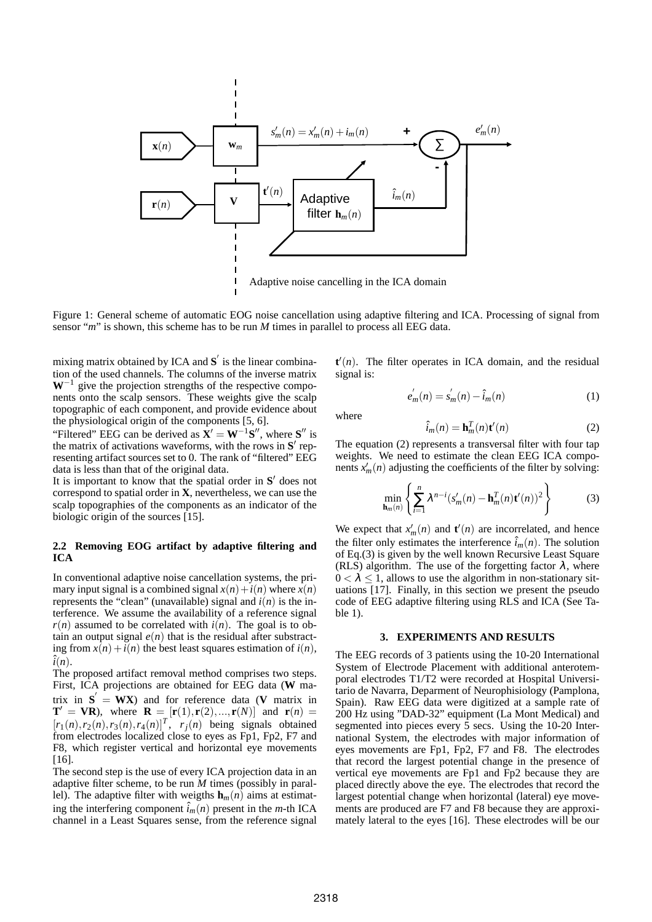

Figure 1: General scheme of automatic EOG noise cancellation using adaptive filtering and ICA. Processing of signal from sensor "*m*" is shown, this scheme has to be run *M* times in parallel to process all EEG data.

mixing matrix obtained by ICA and **S** ′ is the linear combination of the used channels. The columns of the inverse matrix **W**−<sup>1</sup> give the projection strengths of the respective components onto the scalp sensors. These weights give the scalp topographic of each component, and provide evidence about the physiological origin of the components [5, 6].

"Filtered" EEG can be derived as  $X' = W^{-1}S''$ , where  $S''$  is the matrix of activations waveforms, with the rows in **S** ′ representing artifact sources set to 0. The rank of "filtered" EEG data is less than that of the original data.

It is important to know that the spatial order in **S** ′ does not correspond to spatial order in **X**, nevertheless, we can use the scalp topographies of the components as an indicator of the biologic origin of the sources [15].

# **2.2 Removing EOG artifact by adaptive filtering and ICA**

In conventional adaptive noise cancellation systems, the primary input signal is a combined signal  $x(n) + i(n)$  where  $x(n)$ represents the "clean" (unavailable) signal and  $i(n)$  is the interference. We assume the availability of a reference signal  $r(n)$  assumed to be correlated with  $i(n)$ . The goal is to obtain an output signal  $e(n)$  that is the residual after substracting from  $x(n) + i(n)$  the best least squares estimation of  $i(n)$ ,  $\hat{i}(n)$ .

The proposed artifact removal method comprises two steps. First, ICA projections are obtained for EEG data (**W** matrix in  $S' = WX$ ) and for reference data (**V** matrix in  $T' = VR$ ), where  $R = [r(1), r(2), ..., r(N)]$  and  $r(n) =$  $[r_1(n), r_2(n), r_3(n), r_4(n)]^T$ ,  $r_j(n)$  being signals obtained from electrodes localized close to eyes as Fp1, Fp2, F7 and F8, which register vertical and horizontal eye movements [16].

The second step is the use of every ICA projection data in an adaptive filter scheme, to be run *M* times (possibly in parallel). The adaptive filter with weigths  $\mathbf{h}_m(n)$  aims at estimating the interfering component  $\hat{i}_m(n)$  present in the *m*-th ICA channel in a Least Squares sense, from the reference signal

 $\mathbf{t}'(n)$ . The filter operates in ICA domain, and the residual signal is:

$$
e'_{m}(n) = s'_{m}(n) - \hat{i}_{m}(n)
$$
 (1)

where

$$
\hat{i}_m(n) = \mathbf{h}_m^T(n)\mathbf{t}'(n) \tag{2}
$$

The equation (2) represents a transversal filter with four tap weights. We need to estimate the clean EEG ICA components  $x'_m(n)$  adjusting the coefficients of the filter by solving:

$$
\min_{\mathbf{h}_m(n)} \left\{ \sum_{i=1}^n \lambda^{n-i} (s'_m(n) - \mathbf{h}_m^T(n) \mathbf{t}'(n))^2 \right\} \tag{3}
$$

We expect that  $x'_m(n)$  and  $t'(n)$  are incorrelated, and hence the filter only estimates the interference  $\hat{i}_m(n)$ . The solution of Eq.(3) is given by the well known Recursive Least Square (RLS) algorithm. The use of the forgetting factor  $\lambda$ , where  $0 < \lambda < 1$ , allows to use the algorithm in non-stationary situations [17]. Finally, in this section we present the pseudo code of EEG adaptive filtering using RLS and ICA (See Table 1).

#### **3. EXPERIMENTS AND RESULTS**

The EEG records of 3 patients using the 10-20 International System of Electrode Placement with additional anterotemporal electrodes T1/T2 were recorded at Hospital Universitario de Navarra, Deparment of Neurophisiology (Pamplona, Spain). Raw EEG data were digitized at a sample rate of 200 Hz using "DAD-32" equipment (La Mont Medical) and segmented into pieces every 5 secs. Using the 10-20 International System, the electrodes with major information of eyes movements are Fp1, Fp2, F7 and F8. The electrodes that record the largest potential change in the presence of vertical eye movements are Fp1 and Fp2 because they are placed directly above the eye. The electrodes that record the largest potential change when horizontal (lateral) eye movements are produced are F7 and F8 because they are approximately lateral to the eyes [16]. These electrodes will be our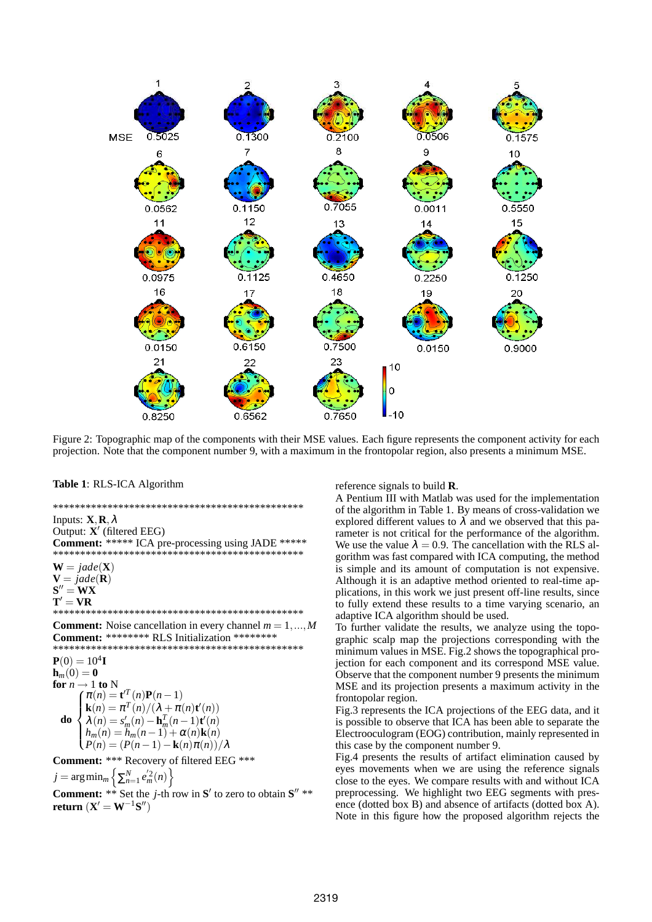

Figure 2: Topographic map of the components with their MSE values. Each figure represents the component activity for each projection. Note that the component number 9, with a maximum in the frontopolar region, also presents a minimum MSE.

#### Table 1: RLS-ICA Algorithm

Inputs:  $\mathbf{X}, \mathbf{R}, \lambda$ Output:  $X'$  (filtered EEG) Comment: \*\*\*\*\* ICA pre-processing using JADE \*\*\*\*\*  $W = \text{jade}(X)$  $V = \text{jade}(R)$  $S'' = WX$  $\mathbf{T}'=\mathbf{VR}$ 

**Comment:** Noise cancellation in every channel  $m = 1, ..., M$ Comment: \*\*\*\*\*\*\*\* RLS Initialization \*\*\*\*\*\*\*\* 

 ${\bf P}(0)=10^4{\bf I}$  $\mathbf{h}_m(0) = \mathbf{0}$ for  $n \rightarrow 1$  to N  $\int \pi(n) = \mathbf{t}^{\prime T}(n)\mathbf{P}(n-1)$  $\mathbf{k}(n) = \pi^{T}(n)/(\lambda + \pi(n)\mathbf{t}'(n))$  $\lambda(n) = s_m'(n) - \mathbf{h}_m^T(n-1)\mathbf{t}'(n)$ do  $h_m(n) = \ddot{h}_m(n-1) + \alpha(n)\mathbf{k}(n)$  $P(n) = (P(n-1) - \mathbf{k}(n)\pi(n))/\lambda$ 

Comment: \*\*\* Recovery of filtered EEG \*\*\*  $j = \arg\min_m \left\{ \sum_{n=1}^N e_m^{'2}(n) \right\}$ 

**Comment:** \*\* Set the *j*-th row in S' to zero to obtain  $S''$  \*\* return  $(X' = W^{-1}S'')$ 

reference signals to build  $\bf{R}$ .

A Pentium III with Matlab was used for the implementation of the algorithm in Table 1. By means of cross-validation we explored different values to  $\lambda$  and we observed that this parameter is not critical for the performance of the algorithm. We use the value  $\lambda = 0.9$ . The cancellation with the RLS algorithm was fast compared with ICA computing, the method is simple and its amount of computation is not expensive. Although it is an adaptive method oriented to real-time applications, in this work we just present off-line results, since to fully extend these results to a time varying scenario, an adaptive ICA algorithm should be used.

To further validate the results, we analyze using the topographic scalp map the projections corresponding with the minimum values in MSE. Fig.2 shows the topographical projection for each component and its correspond MSE value. Observe that the component number 9 presents the minimum MSE and its projection presents a maximum activity in the frontopolar region.

Fig.3 represents the ICA projections of the EEG data, and it is possible to observe that ICA has been able to separate the Electrooculogram (EOG) contribution, mainly represented in this case by the component number 9.

Fig.4 presents the results of artifact elimination caused by eyes movements when we are using the reference signals close to the eyes. We compare results with and without ICA preprocessing. We highlight two EEG segments with presence (dotted box B) and absence of artifacts (dotted box A). Note in this figure how the proposed algorithm rejects the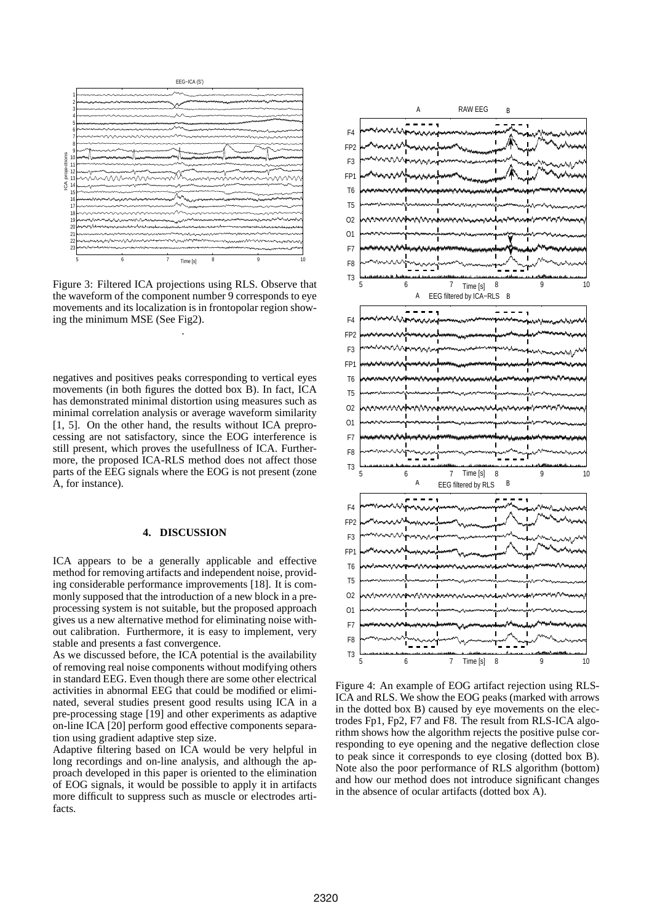![](_page_3_Figure_0.jpeg)

Figure 3: Filtered ICA projections using RLS. Observe that the waveform of the component number 9 corresponds to eye movements and its localization is in frontopolar region showing the minimum MSE (See Fig2). .

negatives and positives peaks corresponding to vertical eyes movements (in both figures the dotted box B). In fact, ICA has demonstrated minimal distortion using measures such as minimal correlation analysis or average waveform similarity [1, 5]. On the other hand, the results without ICA preprocessing are not satisfactory, since the EOG interference is still present, which proves the usefullness of ICA. Furthermore, the proposed ICA-RLS method does not affect those parts of the EEG signals where the EOG is not present (zone A, for instance).

# **4. DISCUSSION**

ICA appears to be a generally applicable and effective method for removing artifacts and independent noise, providing considerable performance improvements [18]. It is commonly supposed that the introduction of a new block in a preprocessing system is not suitable, but the proposed approach gives us a new alternative method for eliminating noise without calibration. Furthermore, it is easy to implement, very stable and presents a fast convergence.

As we discussed before, the ICA potential is the availability of removing real noise components without modifying others in standard EEG. Even though there are some other electrical activities in abnormal EEG that could be modified or eliminated, several studies present good results using ICA in a pre-processing stage [19] and other experiments as adaptive on-line ICA [20] perform good effective components separation using gradient adaptive step size.

Adaptive filtering based on ICA would be very helpful in long recordings and on-line analysis, and although the approach developed in this paper is oriented to the elimination of EOG signals, it would be possible to apply it in artifacts more difficult to suppress such as muscle or electrodes artifacts.

![](_page_3_Figure_7.jpeg)

Figure 4: An example of EOG artifact rejection using RLS-ICA and RLS. We show the EOG peaks (marked with arrows in the dotted box B) caused by eye movements on the electrodes Fp1, Fp2, F7 and F8. The result from RLS-ICA algorithm shows how the algorithm rejects the positive pulse corresponding to eye opening and the negative deflection close to peak since it corresponds to eye closing (dotted box B). Note also the poor performance of RLS algorithm (bottom) and how our method does not introduce significant changes in the absence of ocular artifacts (dotted box A).